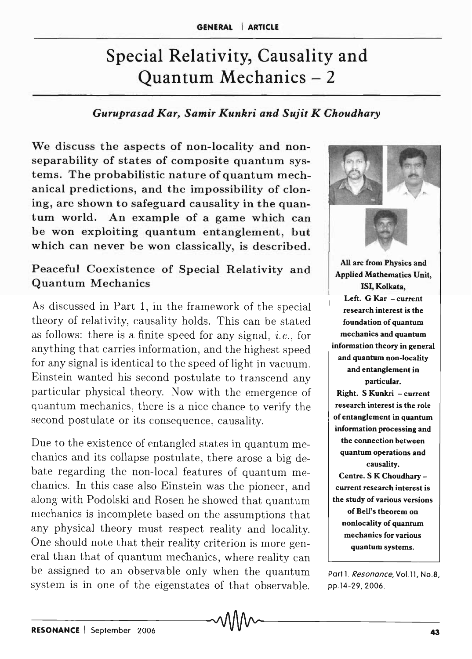# Special Relativity, Causality and Quantum Mechanics - 2

#### *Guruprasad Kar, Samir Kunkri and Sujit K Choudhary*

We discuss the aspects of non-locality and nonseparability of states of composite quantum systems. The probabilistic nature of quantum mechanical predictions, and the impossibility of cloning, are shown to safeguard causality in the quantum world. An example of a game which can be won exploiting quantum entanglement, but which can never be won classically, is described.

# Peaceful Coexistence of Special Relativity and Quantum Mechanics

As discussed in Part 1, in the framework of the special theory of relativity, causality holds. This can be stated as follows: there is a finite speed for any signal, *i.e. ,* for anything that carries information, and the highest speed for any signal is identical to the speed of light in vacuum. Einstein wanted his second postulate to transcend any particular physical theory. Now with the emergence of quantum mechanics, there is a nice chance to verify the second postulate or its consequence, causality.

Due to the existence of entangled states in quantum mechanics and its collapse postulate, there arose a big debate regarding the non-local features of quantum mechanics. In this case also Einstein was the pioneer, and along with Podolski and Rosen he showed that quantum mechanics is incomplete based on the assumptions that any physical theory must respect reality and locality. One should note that their reality criterion is more general than that of quantum mechanics, where reality can be assigned to an observable only when the quantum system is in one of the eigenstates of that observable.



Part 1. Resonance, Vol.11, No.8, pp.14-29,2006.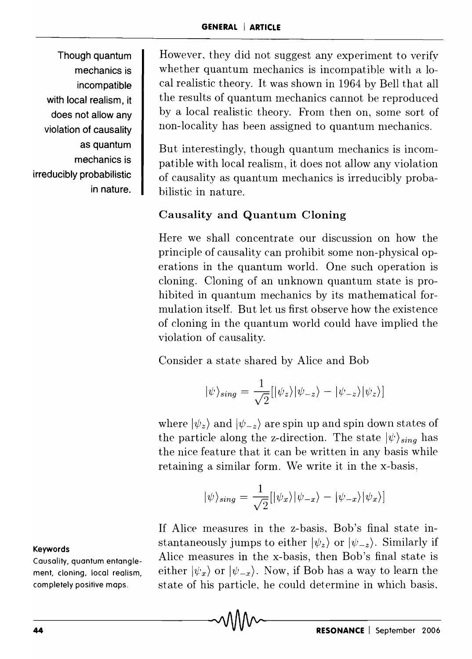Though quantum mechanics is incompatible with local realism, it does not allow any violation of causality as quantum mechanics is irreducibly probabilistic in nature. However, they did not suggest any experiment to verify whether quantum mechanics is incompatible with a local realistic theory. It was shown in 1964 by Bell that all the results of quantum mechanics cannot be reproduced by a local realistic theory. From then on, some sort of non-locality has been assigned to quantum mechanics.

But interestingly, though quantum mechanics is incompatible with local realism, it does not allow any violation of causality as quantum mechanics is irreducibly probabilistic in nature.

# Causality and Quantum Cloning

Here we shall concentrate our discussion on how the principle of causality can prohibit some non-physical operations in the quantum world. One such operation is cloning. Cloning of an unknown quantum state is prohibited in quantum mechanics by its mathematical formulation itself. But let us first observe how the existence of cloning in the quantum world could have implied the violation of causality.

Consider a state shared by Alice and Bob

$$
|\psi\rangle_{sing} = \frac{1}{\sqrt{2}} [|\psi_z\rangle |\psi_{-z}\rangle - |\psi_{-z}\rangle |\psi_z\rangle]
$$

where  $|\psi_z\rangle$  and  $|\psi_{-z}\rangle$  are spin up and spin down states of the particle along the z-direction. The state  $|\psi\rangle_{sing}$  has the nice feature that it can be written in any basis while retaining a similar form. We write it in the x-basis,

$$
|\psi\rangle_{sing} = \frac{1}{\sqrt{2}}[|\psi_x\rangle|\psi_{-x}\rangle - |\psi_{-x}\rangle|\psi_x\rangle]
$$

If Alice measures in the z-basis, Bob's final state instantaneously jumps to either  $|\psi_z\rangle$  or  $|\psi_{-z}\rangle$ . Similarly if Alice measures in the x-basis, then Bob's final state is either  $|\psi_x\rangle$  or  $|\psi_{-x}\rangle$ . Now, if Bob has a way to learn the state of his particle, he could determine in which basis.

#### Keywords

Causality, quantum entanglement, cloning, local realism, completely positive maps.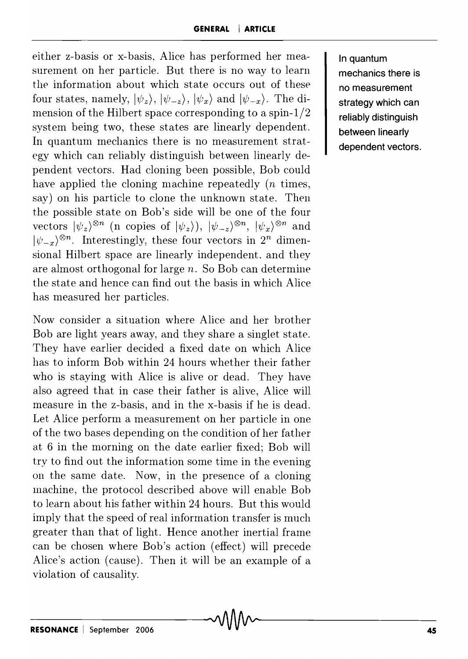either z-basis or x-basis, Alice has performed her measurement on her particle. But there is no way to learn the information about which state occurs out of these four states, namely,  $|\psi_z\rangle$ ,  $|\psi_{-z}\rangle$ ,  $|\psi_x\rangle$  and  $|\psi_{-x}\rangle$ . The dimension of the Hilbert space corresponding to a spin-l/2 system being two, these states are linearly dependent. In quantum mechanics there is no measurement strategy which can reliably distinguish between linearly dependent vectors. Had cloning been possible, Bob could have applied the cloning machine repeatedly  $(n \times n)$ say) on his particle to clone the unknown state. Then the possible state on Bob's side will be one of the four vectors  $|\psi_z\rangle^{\otimes n}$  (n copies of  $|\psi_z\rangle$ ),  $|\psi_{-z}\rangle^{\otimes n}$ ,  $|\psi_x\rangle^{\otimes n}$  and  $|\psi_{-x}\rangle^{\otimes n}$ . Interestingly, these four vectors in  $2^n$  dimensional Hilbert space are linearly independent, and they are almost orthogonal for large *n.* So Bob can determine the state and hence can find out the basis in which Alice has measured her particles.

Now consider a situation where Alice and her brother Bob are light years away, and they share a singlet state. They have earlier decided a fixed date on which Alice has to inform Bob within 24 hours whether their father who is staying with Alice is alive or dead. They have also agreed that in case their father is alive, Alice will measure in the z-basis, and in the x-basis if he is dead. Let Alice perform a measurement on her particle in one of the two bases depending on the condition of her father at 6 in the morning on the date earlier fixed; Bob will try to find out the information some time in the evening on the same date. Now, in the presence of a cloning Inachine, the protocol described above will enable Bob to learn about his father within 24 hours. But this would imply that the speed of real information transfer is much greater than that of light. Hence another inertial frame can be chosen where Bob's action (effect) will precede Alice's action (cause). Then it will be an example of a violation of causality.

In quantum mechanics there is no measurement strategy which can reliably distinguish between linearly dependent vectors.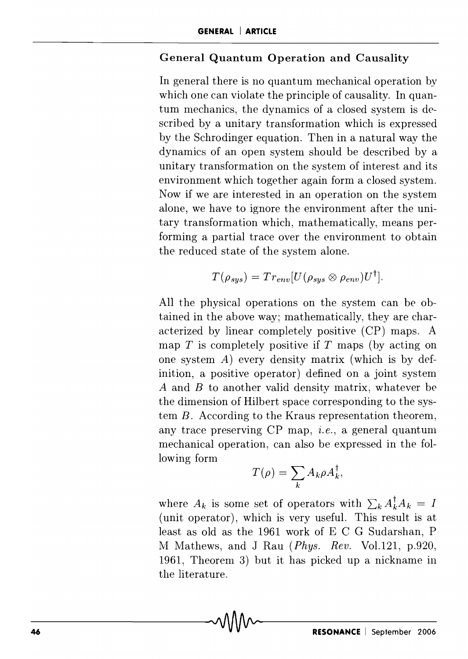#### **General Quantum Operation and Causality**

**In** general there is no quantum mechanical operation by which one can violate the principle of causality. In quantum mechanics, the dynamics of a closed system is described by a unitary transformation which is expressed by the Schrodinger equation. Then in a natural way the dynamics of an open system should be described by a unitary transformation on the system of interest and its environment which together again form a closed system. Now if we are interested in an operation on the system alone, we have to ignore the environment after the unitary transformation which, mathematically, means performing a partial trace over the environment to obtain the reduced state of the system alone.

$$
T(\rho_{sys}) = Tr_{env}[U(\rho_{sys} \otimes \rho_{env})U^{\dagger}].
$$

All the physical operations on the system can be obtained in the above way; mathematically, they are characterized by linear completely positive (CP) maps. A map *T* is completely positive if *T* maps (by acting on one system  $A$ ) every density matrix (which is by definition, a positive operator) defined on a joint system *A* and *B* to another valid density matrix, whatever be the dimension of Hilbert space corresponding to the system B. According to the Kraus representation theorem, any trace preserving CP map, *i.e.*, a general quantum mechanical operation, can also be expressed in the following form

$$
T(\rho) = \sum_{k} A_{k} \rho A_{k}^{\dagger},
$$

where  $A_k$  is some set of operators with  $\sum_k A_k^{\dagger} A_k = I$ (unit operator), which is very useful. This result is at least as old as the 1961 work of E C G Sudarshan, P ]\II Mathews, and J Rau (Phys. *Rev.* Vol.121, p.920, 1961, Theorem 3) but it has picked up a nickname in the literature.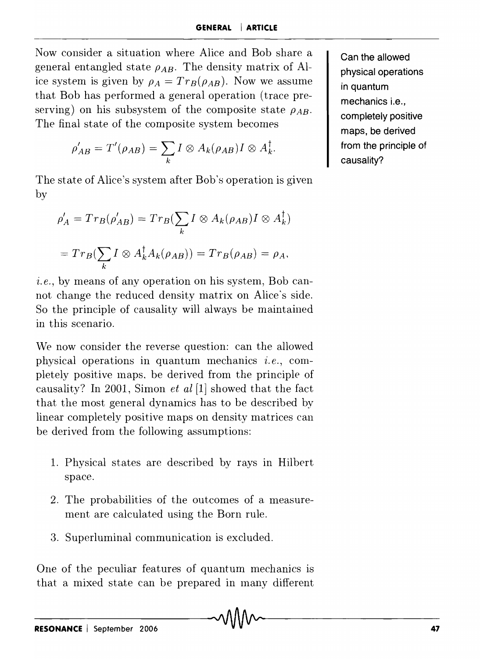Now consider a situation where Alice and Bob share a general entangled state  $\rho_{AB}$ . The density matrix of Alice system is given by  $\rho_A = Tr_B(\rho_{AB})$ . Now we assume that Bob has performed a general operation (trace preserving) on his subsystem of the composite state  $\rho_{AB}$ . The final state of the composite system becomes

$$
\rho'_{AB}=T'(\rho_{AB})=\sum_k I\otimes A_k(\rho_{AB})I\otimes A_k^{\dagger}.
$$

The state of Alice's system after Bob's operation is given by

$$
\rho'_{A} = Tr_{B}(\rho'_{AB}) = Tr_{B}(\sum_{k} I \otimes A_{k}(\rho_{AB})I \otimes A_{k}^{\dagger})
$$

$$
= Tr_{B}(\sum_{k} I \otimes A_{k}^{\dagger} A_{k}(\rho_{AB})) = Tr_{B}(\rho_{AB}) = \rho_{A},
$$

i.e., by means of any operation on his system, Bob cannot change the reduced density matrix on Alice's side. So the principle of causality will always be maintained in this scenario.

We now consider the reverse question: can the allowed physical operations in quantum mechanics *i.e.*, completely positive lnaps, be derived from the principle of causality? **In** 2001, Simon *et al* [1] showed that the fact that the most general dynamics has to be described by linear completely positive maps on density matrices can be derived from the following assumptions:

- 1. Physical states are described by rays in Hilbert space.
- 2. The probabilities of the outcomes of a measurement are calculated using the Born rule.
- 3. Superluminal communication is excluded.

One of the peculiar features of quantum mechanics is that a mixed state can be prepared in many different **Can the allowed physical operations in quantum mechanics** i.e., **completely positive maps, be derived from the principle of causality?**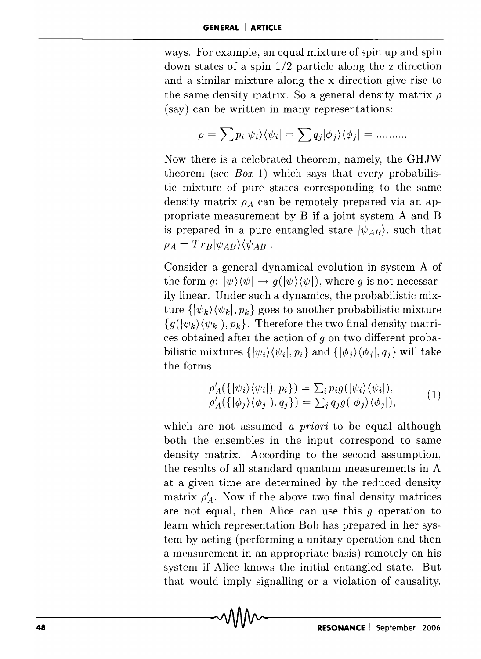ways. For example, an equal mixture of spin up and spin down states of a spin 1/2 particle along the z direction and a similar mixture along the x direction give rise to the same density matrix. So a general density matrix  $\rho$ (say) can be written in many representations:

$$
\rho = \sum p_i |\psi_i\rangle\langle\psi_i| = \sum q_j |\phi_j\rangle\langle\phi_j| = \dots \dots
$$

Now there is a celebrated theorem, namely, the GHJW theorem (see *Box* 1) which says that every probabilistic mixture of pure states corresponding to the same density matrix  $\rho_A$  can be remotely prepared via an appropriate measurement by B if a joint system A and B is prepared in a pure entangled state  $|\psi_{AB}\rangle$ , such that  $\rho_A = Tr_B |\psi_{AB}\rangle \langle \psi_{AB}|.$ 

Consider a general dynamical evolution in system A of the form  $q: |\psi\rangle\langle\psi| \rightarrow q(|\psi\rangle\langle\psi|)$ , where q is not necessarily linear. Under such a dynamics, the probabilistic mixture  $\{\ket{\psi_k}\!\bra{\psi_k},p_k\}$  goes to another probabilistic mixture  ${g(|\psi_k\rangle\langle\psi_k|), p_k}.$  Therefore the two final density matrices obtained after the action of *9* on two different probabilistic mixtures  $\{|\psi_i\rangle\langle\psi_i|, p_i\}$  and  $\{|\phi_i\rangle\langle\phi_i|, q_i\}$  will take the forms

$$
\rho'_A(\{|\psi_i\rangle\langle\psi_i|), p_i\}) = \sum_i p_i g(|\psi_i\rangle\langle\psi_i|),
$$
  
\n
$$
\rho'_A(\{|\phi_j\rangle\langle\phi_j|), q_j\}) = \sum_j q_j g(|\phi_j\rangle\langle\phi_j|),
$$
 (1)

which are not assumed a *priori* to be equal although both the ensembles in the input correspond to same density matrix. According to the second assumption, the results of all standard quantum measurements in A at a given time are determined by the reduced density matrix  $\rho'_{A}$ . Now if the above two final density matrices are not equal, then Alice can use this  $q$  operation to learn which representation Bob has prepared in her system by acting (performing a unitary operation and then a measurement in an appropriate basis) remotely on his system if Alice knows the initial entangled state. But that would imply signalling or a violation of causality.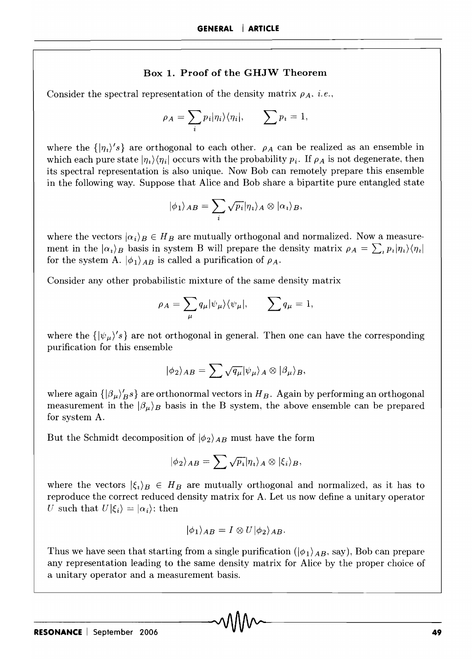#### Box 1. Proof of the GHJW Theorem

Consider the spectral representation of the density matrix  $\rho_A$ , *i.e.*,

$$
\rho_A = \sum_i p_i |\eta_i\rangle\langle\eta_i|, \qquad \sum_i p_i = 1,
$$

where the  $\{|{\eta_i}\rangle$ 's} are orthogonal to each other.  $\rho_A$  can be realized as an ensemble in which each pure state  $|\eta_i\rangle\langle\eta_i|$  occurs with the probability  $p_i$ . If  $\rho_A$  is not degenerate, then its spectral representation is also unique. Now Bob can remotely prepare this ensemble in the following way. Suppose that Alice and Bob share a bipartite pure entangled state

$$
|\phi_1\rangle_{AB} = \sum_i \sqrt{p_i} |\eta_i\rangle_A \otimes |\alpha_i\rangle_B,
$$

where the vectors  $|\alpha_i\rangle_B \in H_B$  are mutually orthogonal and normalized. Now a measurement in the  $|\alpha_i\rangle_B$  basis in system B will prepare the density matrix  $\rho_A = \sum_i p_i |\eta_i\rangle \langle \eta_i|$ for the system A.  $|\phi_1\rangle_{AB}$  is called a purification of  $\rho_A$ .

Consider any other probabilistic mixture of the same density matrix

$$
\rho_A = \sum_{\mu} q_{\mu} |\psi_{\mu}\rangle \langle \psi_{\mu}|, \qquad \sum q_{\mu} = 1,
$$

where the  $\{|\psi_{\mu}\rangle$ 's are not orthogonal in general. Then one can have the corresponding purification for this ensemble

$$
|\phi_2\rangle_{AB} = \sum \sqrt{q_\mu} |\psi_\mu\rangle_A \otimes |\beta_\mu\rangle_B,
$$

where again  $\{\ket{\beta_\mu}_{B}^r\}$  are orthonormal vectors in  $H_B$ . Again by performing an orthogonal measurement in the  $|\beta_{\mu}\rangle_B$  basis in the B system, the above ensemble can be prepared for system A.

But the Schmidt decomposition of  $|\phi_2\rangle_{AB}$  must have the form

$$
|\phi_2\rangle_{AB} = \sum \sqrt{p_i} |\eta_i\rangle_A \otimes |\xi_i\rangle_B,
$$

where the vectors  $|\xi_i\rangle_B \in H_B$  are mutually orthogonal and normalized, as it has to reproduce the correct reduced density matrix for A. Let us now define a unitary operator U such that  $U|\xi_i\rangle = |\alpha_i\rangle$ : then

$$
|\phi_1\rangle_{AB}=I\otimes U|\phi_2\rangle_{AB}.
$$

Thus we have seen that starting from a single purification  $(|\phi_1\rangle_{AB}$ , say), Bob can prepare any representation leading to the same density matrix for Alice by the proper choice of a unitary operator and a measurement basis.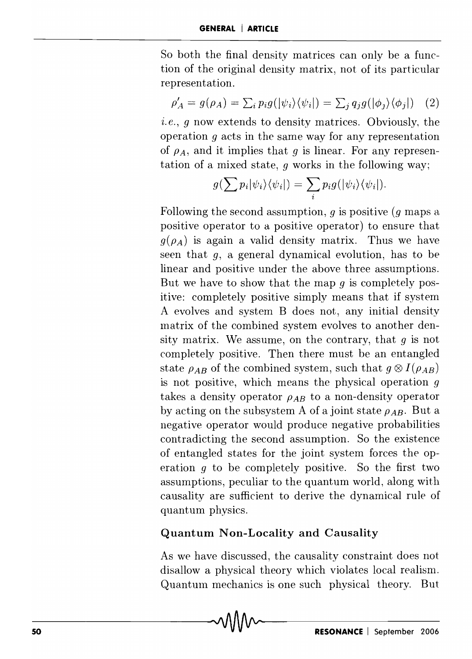So both the final density matrices can only be a function of the original density matrix, not of its particular representation.

$$
\rho'_A = g(\rho_A) = \sum_i p_i g(|\psi_i\rangle \langle \psi_i|) = \sum_j q_j g(|\phi_j\rangle \langle \phi_j|) \quad (2)
$$

*i.e.*, *g* now extends to density matrices. Obviously, the operation *9* acts in the same way for any representation of  $\rho_A$ , and it implies that *g* is linear. For any representation of a mixed state,  $q$  works in the following way;

$$
g(\sum p_i |\psi_i\rangle\langle\psi_i|) = \sum_i p_i g(|\psi_i\rangle\langle\psi_i|).
$$

Following the second assumption, 9 is positive *(g* maps a positive operator to a positive operator) to ensure that  $g(\rho_A)$  is again a valid density matrix. Thus we have seen that *g,* a general dynamical evolution, has to be linear and positive under the above three assumptions. But we have to show that the map  $q$  is completely positive: completely positive simply means that if system A evolves and system B does not, any initial density matrix of the combined system evolves to another density matrix. We assume, on the contrary, that  $g$  is not completely positive. Then there must be an entangled state  $\rho_{AB}$  of the combined system, such that  $g \otimes I(\rho_{AB})$ is not positive, which means the physical operation *9*  takes a density operator  $\rho_{AB}$  to a non-density operator by acting on the subsystem A of a joint state  $\rho_{AB}$ . But a negative operator would produce negative probabilities contradicting the second assumption. So the existence of entangled states for the joint system forces the operation  $q$  to be completely positive. So the first two assumptions, peculiar to the quantum world, along with causality are sufficient to derive the dynamical rule of quantum physics.

## **Quantum Non-Locality and Causality**

As we have discussed, the causality constraint does not disallow a physical theory which violates local realism. Quantum mechanics is one such physical theory. But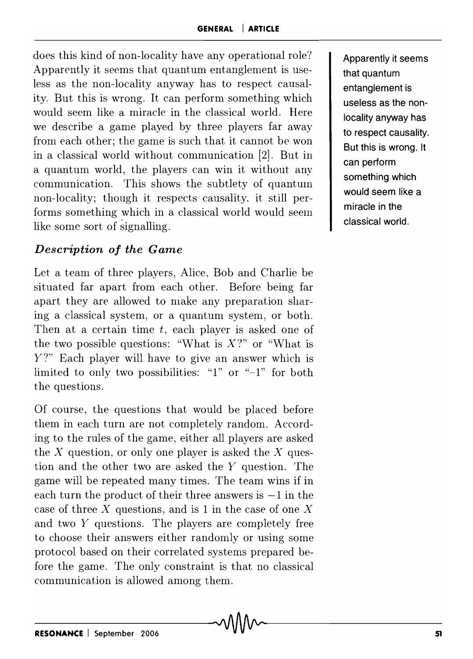does this kind of non-locality have any operational role? Apparently it seems that quantum entanglement is useless as the non-locality anyway has to respect causality. But this is wrong. It can perform something which would seem like a miracle in the classical world. Here we describe a game played by three players far away from each other; the game is such that it cannot be won in a classical world without communication [2]. But in a quantum world, the players can win it without any communication. This shows the subtlety of quantum non-locality; though it respects causality. it still performs something which in a classical world would seem like some sort of signalling.

# *Description of the Game*

Let a team of three players, Alice, Bob and Charlie be situated far apart from each other. Before being far apart they are allowed to make any preparation sharing a classical system, or a quantum system, or both. Then at a certain time  $t$ , each player is asked one of the two possible questions: "What is *X?"* or "What is Y?" Each player will have to give an answer which is limited to only two possibilities: "I" or "-I" for both the questions.

Of course, the questions that would be placed before them in each turn are not completely random. According to the rules of the game, either all players are asked the  $X$  question, or only one player is asked the  $X$  question and the other two are asked the *Y* question. The game will be repeated many times. The team wins if in each turn the product of their three answers is  $-1$  in the case of three  $X$  questions, and is 1 in the case of one  $X$ and two Y questions. The players are completely free to choose their answers either randomly or using some protocol based on their correlated systems prepared before the game. The only constraint is that no classical communication is allowed among them.

Apparently it seems that quantum entanglement is useless as the nonlocality anyway has to respect causality. But this is wrong. It can perform something which would seem like a miracle in the classical world.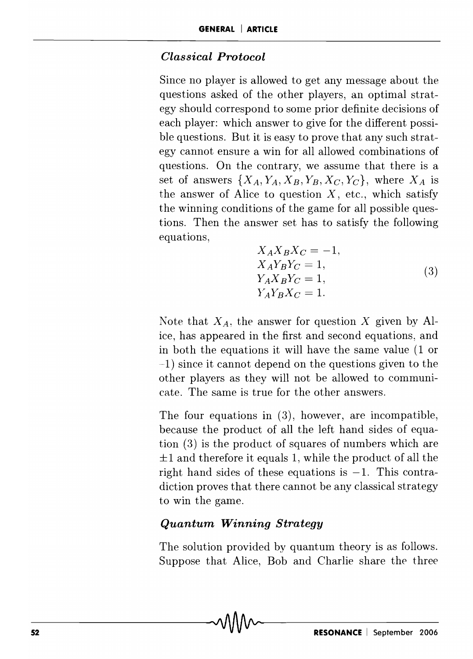#### *Classical Protocol*

Since no player is allowed to get any message about the questions asked of the other players, an optimal strategy should correspond to some prior definite decisions of each player: which answer to give for the different possible questions. But it is easy to prove that any such strategy cannot ensure a win for all allowed combinations of questions. On the contrary, we assume that there is a set of answers  $\{X_A, Y_A, X_B, Y_B, X_C, Y_C\}$ , where  $X_A$  is the answer of Alice to question  $X$ , etc., which satisfy the winning conditions of the game for all possible questions. Then the answer set has to satisfy the following equations,

$$
X_A X_B X_C = -1,
$$
  
\n
$$
X_A Y_B Y_C = 1,
$$
  
\n
$$
Y_A X_B Y_C = 1,
$$
  
\n
$$
Y_A Y_B X_C = 1.
$$
\n(3)

Note that  $X_A$ , the answer for question X given by Alice, has appeared in the first and second equations, and in both the equations it will have the same value  $(1 \text{ or }$ -1) since it cannot depend on the questions given to the other players as they will not be allowed to communicate. The same is true for the other answers.

The four equations in (3), however, are incompatible, because the product of all the left hand sides of equation (3) is the product of squares of numbers which are  $\pm 1$  and therefore it equals 1, while the product of all the right hand sides of these equations is  $-1$ . This contradiction proves that there cannot be any classical strategy to win the game.

## *Quantum Winning Strategy*

The solution provided by quantum theory is as follows. Suppose that Alice, Bob and Charlie share the three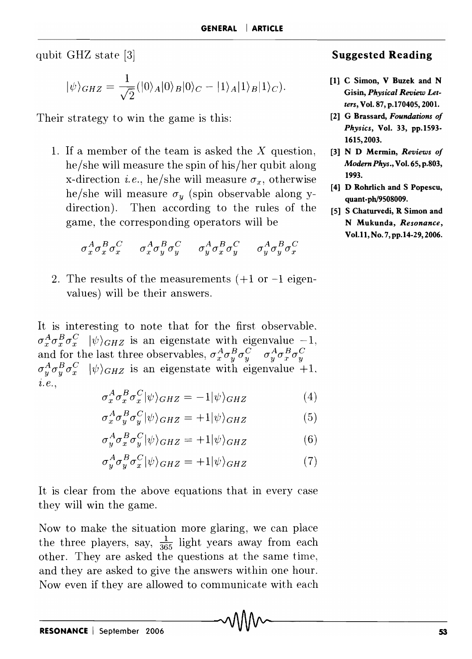qubit GHZ state [3]

$$
|\psi\rangle_{GHZ}=\frac{1}{\sqrt{2}}(|0\rangle_A|0\rangle_B|0\rangle_C-|1\rangle_A|1\rangle_B|1\rangle_C).
$$

Their strategy to win the game is this:

1. If a member of the team is asked the X question, he/she will measure the spin of his/her qubit along x-direction *i.e.*, he/she will measure  $\sigma_x$ , otherwise he/she will measure  $\sigma_y$  (spin observable along ydirection). Then according to the rules of the game, the corresponding operators will be

$$
\sigma_x^A \sigma_x^B \sigma_x^C \quad \ \ \sigma_x^A \sigma_y^B \sigma_y^C \quad \ \ \sigma_y^A \sigma_x^B \sigma_y^C \quad \ \ \sigma_y^A \sigma_y^B \sigma_x^C
$$

2. The results of the measurements  $(+1 \text{ or } -1 \text{ eigen} -1)$ values) will be their answers.

It is interesting to note that for the first observable,  $\sigma_x^A \sigma_x^B \sigma_x^C$   $|\psi\rangle_{GHZ}$  is an eigenstate with eigenvalue  $-1$ , and for the last three observables,  $\sigma_x^A \sigma_y^B \sigma_y^C$   $\sigma_y^A \sigma_x^B \sigma_y^C$  $\sigma_y^A \sigma_y^B \sigma_x^C$   $|\psi\rangle_{GHZ}$  is an eigenstate with eigenvalue +1. l. *e.,* 

$$
\sigma_x^A \sigma_x^B \sigma_x^C |\psi\rangle_{GHZ} = -1 |\psi\rangle_{GHZ} \tag{4}
$$

$$
\sigma_x^A \sigma_y^B \sigma_y^C |\psi\rangle_{GHZ} = +1 |\psi\rangle_{GHZ} \tag{5}
$$

$$
\sigma_y^A \sigma_x^B \sigma_y^C |\psi\rangle_{GHZ} = +1 |\psi\rangle_{GHZ} \tag{6}
$$

$$
\sigma_y^A \sigma_y^B \sigma_x^C |\psi\rangle_{GHZ} = +1 |\psi\rangle_{GHZ} \tag{7}
$$

It is clear from the above equations that in every case they will win the game.

Now to make the situation more glaring, we can place the three players, say,  $\frac{1}{365}$  light years away from each other. They are asked the questions at the same time, and they are asked to give the answers within one hour. Now even if they are allowed to communicate with each

#### Suggested Reading

- [1] C Simon, V Buzek and N Gisin, *Physical Review Letters,* Vol. 87, p.170405, 2001.
- [2] G Brassard, *Foundations of Physics,* Vol. 33, pp.1593- 1615,2003.
- [3] N D Mermin, *Reviews of Modern Phys.,* Vol. 65, p.803, 1993.
- [4] D Rohrlich and S Popescu, quant-ph/9508009.
- [5] S Chaturvedi, R Simon and N Mukunda, *Resonance,*  Vol.ll,No.7,pp.14-29,2006.